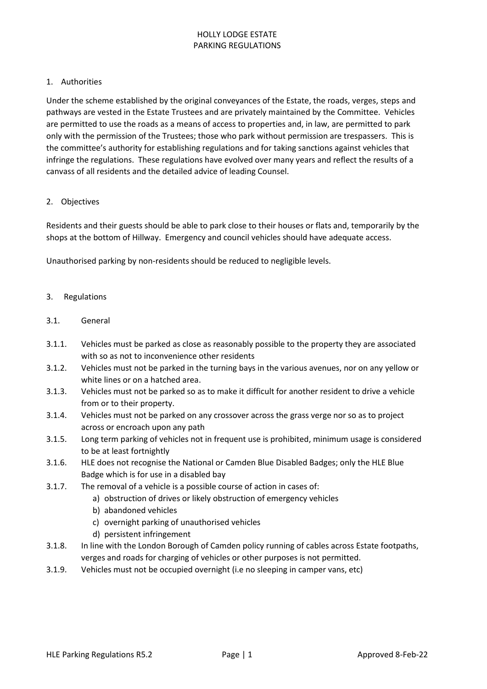## HOLLY LODGE ESTATE PARKING REGULATIONS

### 1. Authorities

Under the scheme established by the original conveyances of the Estate, the roads, verges, steps and pathways are vested in the Estate Trustees and are privately maintained by the Committee. Vehicles are permitted to use the roads as a means of access to properties and, in law, are permitted to park only with the permission of the Trustees; those who park without permission are trespassers. This is the committee's authority for establishing regulations and for taking sanctions against vehicles that infringe the regulations. These regulations have evolved over many years and reflect the results of a canvass of all residents and the detailed advice of leading Counsel.

## 2. Objectives

Residents and their guests should be able to park close to their houses or flats and, temporarily by the shops at the bottom of Hillway. Emergency and council vehicles should have adequate access.

Unauthorised parking by non-residents should be reduced to negligible levels.

## 3. Regulations

- 3.1. General
- 3.1.1. Vehicles must be parked as close as reasonably possible to the property they are associated with so as not to inconvenience other residents
- 3.1.2. Vehicles must not be parked in the turning bays in the various avenues, nor on any yellow or white lines or on a hatched area.
- 3.1.3. Vehicles must not be parked so as to make it difficult for another resident to drive a vehicle from or to their property.
- 3.1.4. Vehicles must not be parked on any crossover across the grass verge nor so as to project across or encroach upon any path
- 3.1.5. Long term parking of vehicles not in frequent use is prohibited, minimum usage is considered to be at least fortnightly
- 3.1.6. HLE does not recognise the National or Camden Blue Disabled Badges; only the HLE Blue Badge which is for use in a disabled bay
- 3.1.7. The removal of a vehicle is a possible course of action in cases of:
	- a) obstruction of drives or likely obstruction of emergency vehicles
	- b) abandoned vehicles
	- c) overnight parking of unauthorised vehicles
	- d) persistent infringement
- 3.1.8. In line with the London Borough of Camden policy running of cables across Estate footpaths, verges and roads for charging of vehicles or other purposes is not permitted.
- 3.1.9. Vehicles must not be occupied overnight (i.e no sleeping in camper vans, etc)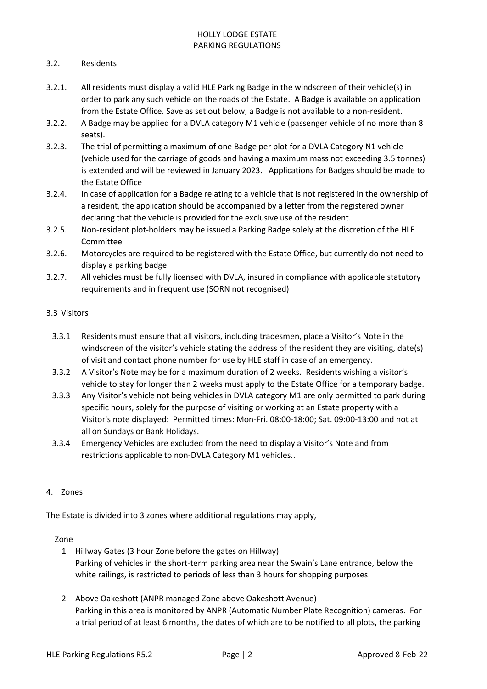# HOLLY LODGE ESTATE PARKING REGULATIONS

# 3.2. Residents

- 3.2.1. All residents must display a valid HLE Parking Badge in the windscreen of their vehicle(s) in order to park any such vehicle on the roads of the Estate. A Badge is available on application from the Estate Office. Save as set out below, a Badge is not available to a non-resident.
- 3.2.2. A Badge may be applied for a DVLA category M1 vehicle (passenger vehicle of no more than 8 seats).
- 3.2.3. The trial of permitting a maximum of one Badge per plot for a DVLA Category N1 vehicle (vehicle used for the carriage of goods and having a maximum mass not exceeding 3.5 tonnes) is extended and will be reviewed in January 2023. Applications for Badges should be made to the Estate Office
- 3.2.4. In case of application for a Badge relating to a vehicle that is not registered in the ownership of a resident, the application should be accompanied by a letter from the registered owner declaring that the vehicle is provided for the exclusive use of the resident.
- 3.2.5. Non-resident plot-holders may be issued a Parking Badge solely at the discretion of the HLE Committee
- 3.2.6. Motorcycles are required to be registered with the Estate Office, but currently do not need to display a parking badge.
- 3.2.7. All vehicles must be fully licensed with DVLA, insured in compliance with applicable statutory requirements and in frequent use (SORN not recognised)

# 3.3 Visitors

- 3.3.1 Residents must ensure that all visitors, including tradesmen, place a Visitor's Note in the windscreen of the visitor's vehicle stating the address of the resident they are visiting, date(s) of visit and contact phone number for use by HLE staff in case of an emergency.
- 3.3.2 A Visitor's Note may be for a maximum duration of 2 weeks. Residents wishing a visitor's vehicle to stay for longer than 2 weeks must apply to the Estate Office for a temporary badge.
- 3.3.3 Any Visitor's vehicle not being vehicles in DVLA category M1 are only permitted to park during specific hours, solely for the purpose of visiting or working at an Estate property with a Visitor's note displayed: Permitted times: Mon-Fri. 08:00-18:00; Sat. 09:00-13:00 and not at all on Sundays or Bank Holidays.
- 3.3.4 Emergency Vehicles are excluded from the need to display a Visitor's Note and from restrictions applicable to non-DVLA Category M1 vehicles..

# 4. Zones

The Estate is divided into 3 zones where additional regulations may apply,

### Zone

- 1 Hillway Gates (3 hour Zone before the gates on Hillway) Parking of vehicles in the short-term parking area near the Swain's Lane entrance, below the white railings, is restricted to periods of less than 3 hours for shopping purposes.
- 2 Above Oakeshott (ANPR managed Zone above Oakeshott Avenue) Parking in this area is monitored by ANPR (Automatic Number Plate Recognition) cameras. For a trial period of at least 6 months, the dates of which are to be notified to all plots, the parking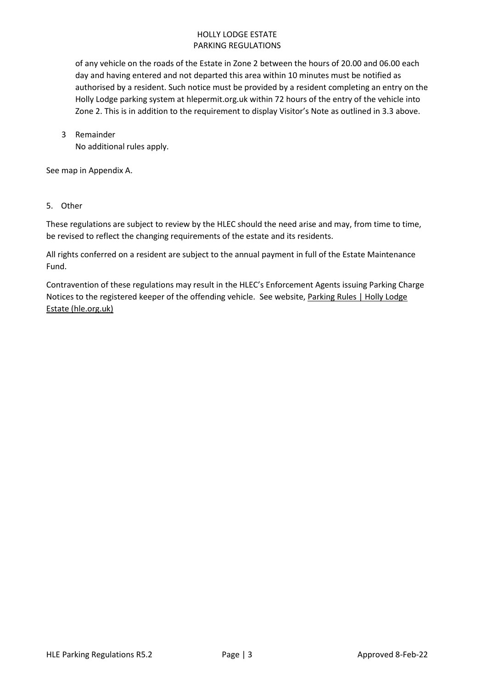# HOLLY LODGE ESTATE PARKING REGULATIONS

of any vehicle on the roads of the Estate in Zone 2 between the hours of 20.00 and 06.00 each day and having entered and not departed this area within 10 minutes must be notified as authorised by a resident. Such notice must be provided by a resident completing an entry on the Holly Lodge parking system at hlepermit.org.uk within 72 hours of the entry of the vehicle into Zone 2. This is in addition to the requirement to display Visitor's Note as outlined in 3.3 above.

3 Remainder No additional rules apply.

See map in Appendix A.

5. Other

These regulations are subject to review by the HLEC should the need arise and may, from time to time, be revised to reflect the changing requirements of the estate and its residents.

All rights conferred on a resident are subject to the annual payment in full of the Estate Maintenance Fund.

Contravention of these regulations may result in the HLEC's Enforcement Agents issuing Parking Charge Notices to the registered keeper of the offending vehicle. See website, [Parking Rules | Holly Lodge](https://hle.org.uk/?q=node/5)  [Estate \(hle.org.uk\)](https://hle.org.uk/?q=node/5)